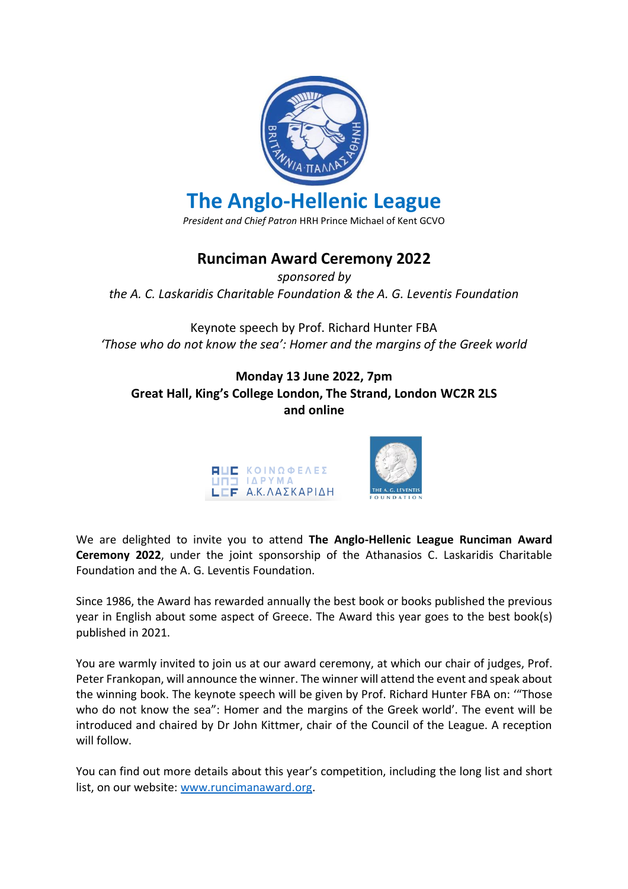

*President and Chief Patron* HRH Prince Michael of Kent GCVO

## **Runciman Award Ceremony 2022**

*sponsored by the A. C. Laskaridis Charitable Foundation & the A. G. Leventis Foundation*

Keynote speech by Prof. Richard Hunter FBA *'Those who do not know the sea': Homer and the margins of the Greek world*

## **Monday 13 June 2022, 7pm Great Hall, King's College London, The Strand, London WC2R 2LS and online**



We are delighted to invite you to attend **The Anglo-Hellenic League Runciman Award Ceremony 2022**, under the joint sponsorship of the Athanasios C. Laskaridis Charitable Foundation and the A. G. Leventis Foundation.

Since 1986, the Award has rewarded annually the best book or books published the previous year in English about some aspect of Greece. The Award this year goes to the best book(s) published in 2021.

You are warmly invited to join us at our award ceremony, at which our chair of judges, Prof. Peter Frankopan, will announce the winner. The winner will attend the event and speak about the winning book. The keynote speech will be given by Prof. Richard Hunter FBA on: '"Those who do not know the sea": Homer and the margins of the Greek world'. The event will be introduced and chaired by Dr John Kittmer, chair of the Council of the League. A reception will follow.

You can find out more details about this year's competition, including the long list and short list, on our website: [www.runcimanaward.org.](http://www.runcimanaward.org/)